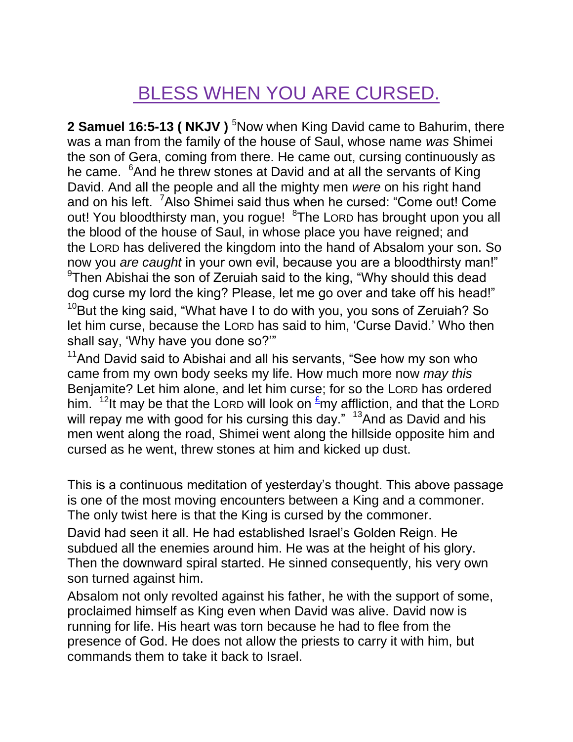## BLESS WHEN YOU ARE CURSED.

**2 Samuel 16:5-13 ( NKJV )** <sup>5</sup>Now when King David came to Bahurim, there was a man from the family of the house of Saul, whose name *was* Shimei the son of Gera, coming from there. He came out, cursing continuously as he came. <sup>6</sup>And he threw stones at David and at all the servants of King David. And all the people and all the mighty men *were* on his right hand and on his left. <sup>7</sup>Also Shimei said thus when he cursed: "Come out! Come out! You bloodthirsty man, you rogue! <sup>8</sup>The LORD has brought upon you all the blood of the house of Saul, in whose place you have reigned; and the LORD has delivered the kingdom into the hand of Absalom your son. So now you *are caught* in your own evil, because you are a bloodthirsty man!" <sup>9</sup>Then Abishai the son of Zeruiah said to the king, "Why should this dead dog curse my lord the king? Please, let me go over and take off his head!"  $10B$ ut the king said, "What have I to do with you, you sons of Zeruiah? So let him curse, because the LORD has said to him, "Curse David." Who then shall say, "Why have you done so?""

 $11$ And David said to Abishai and all his servants, "See how my son who came from my own body seeks my life. How much more now *may this* Benjamite? Let him alone, and let him curse; for so the LORD has ordered him. <sup>12</sup>It may be that the LORD will look on  $\frac{\epsilon}{2}$ my affliction, and that the LORD will repay me with good for his cursing this day." <sup>13</sup>And as David and his men went along the road, Shimei went along the hillside opposite him and cursed as he went, threw stones at him and kicked up dust.

This is a continuous meditation of yesterday"s thought. This above passage is one of the most moving encounters between a King and a commoner. The only twist here is that the King is cursed by the commoner.

David had seen it all. He had established Israel"s Golden Reign. He subdued all the enemies around him. He was at the height of his glory. Then the downward spiral started. He sinned consequently, his very own son turned against him.

Absalom not only revolted against his father, he with the support of some, proclaimed himself as King even when David was alive. David now is running for life. His heart was torn because he had to flee from the presence of God. He does not allow the priests to carry it with him, but commands them to take it back to Israel.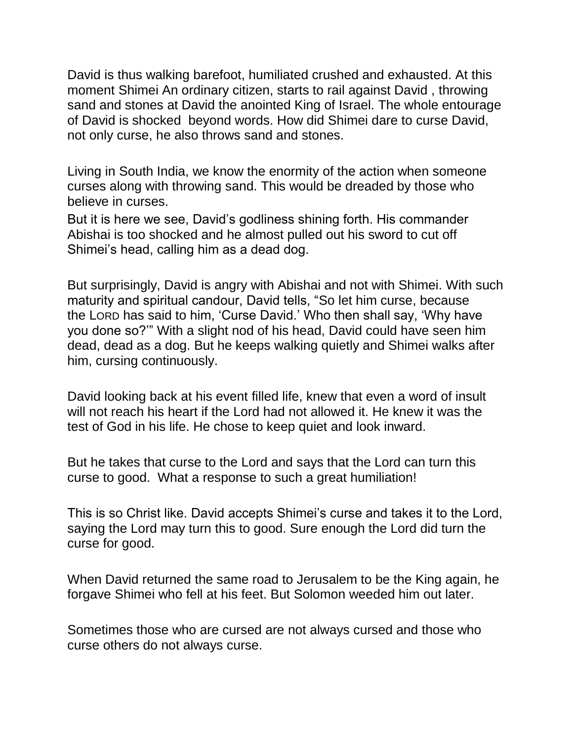David is thus walking barefoot, humiliated crushed and exhausted. At this moment Shimei An ordinary citizen, starts to rail against David , throwing sand and stones at David the anointed King of Israel. The whole entourage of David is shocked beyond words. How did Shimei dare to curse David, not only curse, he also throws sand and stones.

Living in South India, we know the enormity of the action when someone curses along with throwing sand. This would be dreaded by those who believe in curses.

But it is here we see, David"s godliness shining forth. His commander Abishai is too shocked and he almost pulled out his sword to cut off Shimei"s head, calling him as a dead dog.

But surprisingly, David is angry with Abishai and not with Shimei. With such maturity and spiritual candour, David tells, "So let him curse, because the LORD has said to him, "Curse David." Who then shall say, "Why have you done so?"" With a slight nod of his head, David could have seen him dead, dead as a dog. But he keeps walking quietly and Shimei walks after him, cursing continuously.

David looking back at his event filled life, knew that even a word of insult will not reach his heart if the Lord had not allowed it. He knew it was the test of God in his life. He chose to keep quiet and look inward.

But he takes that curse to the Lord and says that the Lord can turn this curse to good. What a response to such a great humiliation!

This is so Christ like. David accepts Shimei"s curse and takes it to the Lord, saying the Lord may turn this to good. Sure enough the Lord did turn the curse for good.

When David returned the same road to Jerusalem to be the King again, he forgave Shimei who fell at his feet. But Solomon weeded him out later.

Sometimes those who are cursed are not always cursed and those who curse others do not always curse.